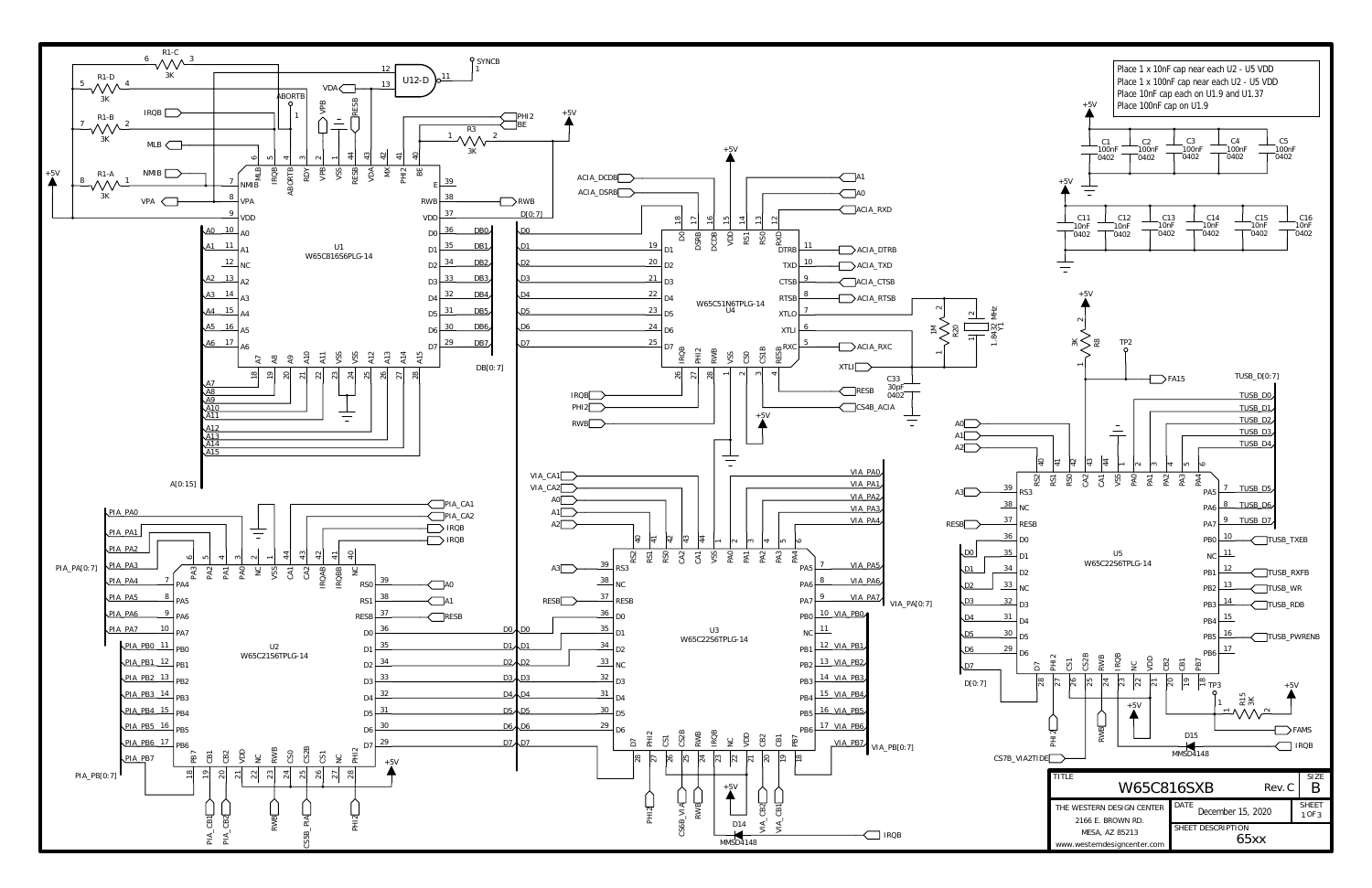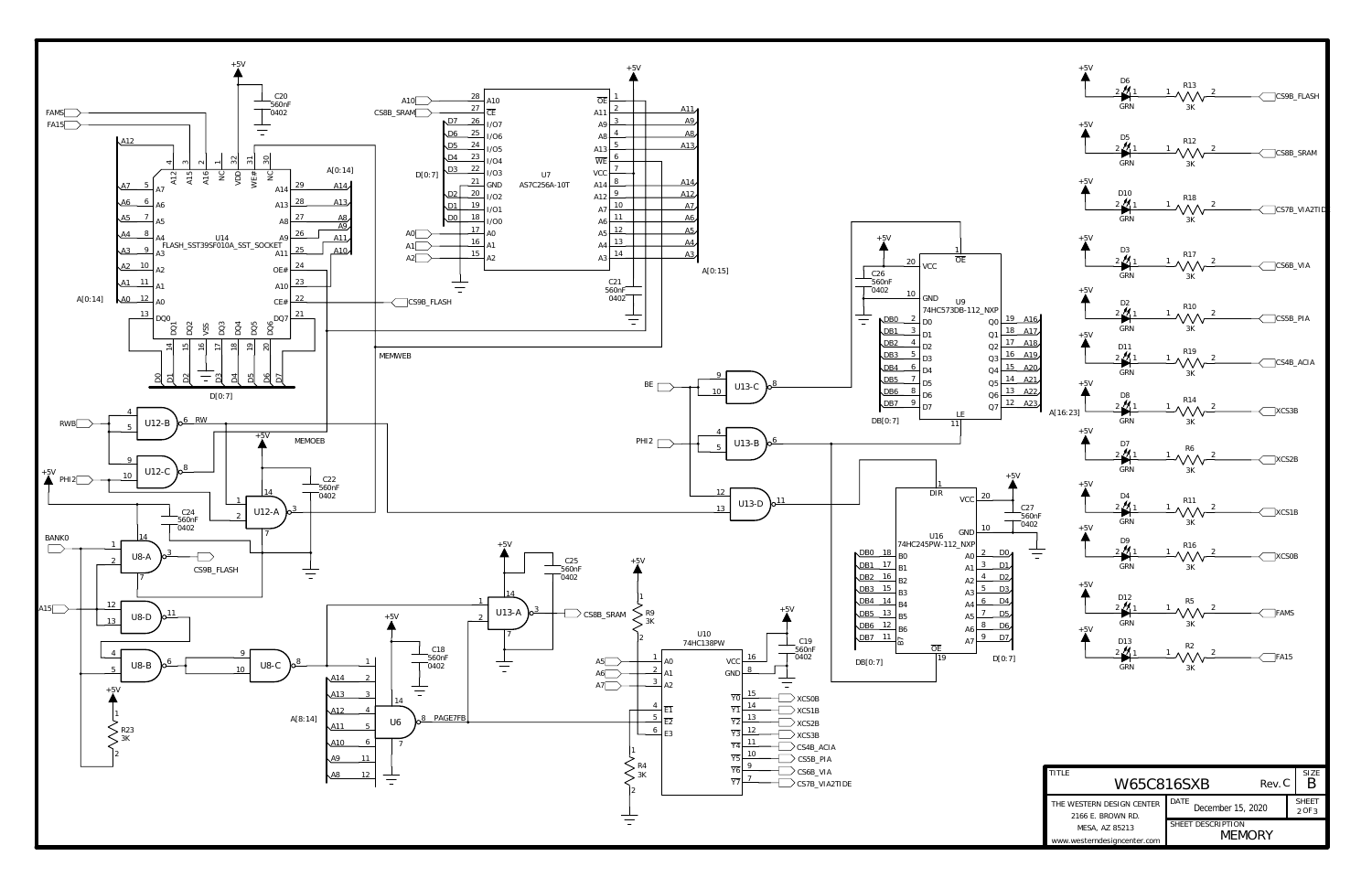